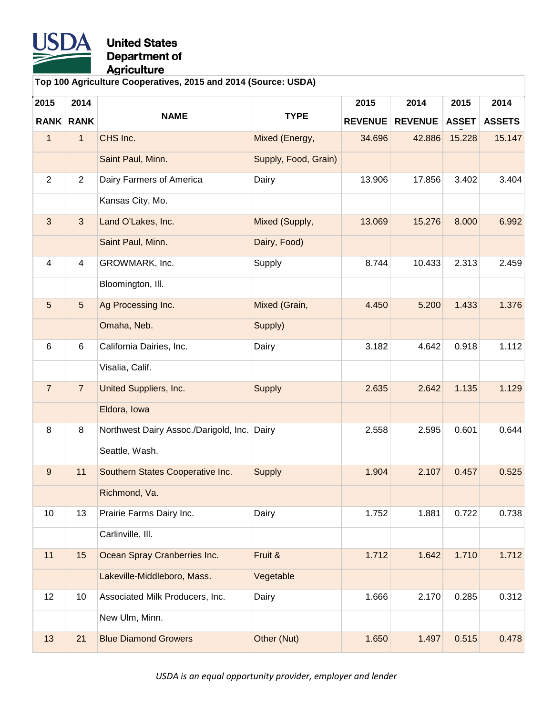

**Top 100 Agriculture Cooperatives, 2015 and 2014 (Source: USDA)**

| 2015             | 2014           |                                       |                      | 2015           | 2014           | 2015         | 2014          |
|------------------|----------------|---------------------------------------|----------------------|----------------|----------------|--------------|---------------|
| <b>RANK</b>      | <b>RANK</b>    | <b>NAME</b>                           | <b>TYPE</b>          | <b>REVENUE</b> | <b>REVENUE</b> | <b>ASSET</b> | <b>ASSETS</b> |
| $\mathbf{1}$     | $\mathbf{1}$   | CHS Inc.                              | Mixed (Energy,       | 34.696         | 42.886         | 15.228       | 15.147        |
|                  |                | Saint Paul, Minn.                     | Supply, Food, Grain) |                |                |              |               |
| $\overline{2}$   | $\overline{2}$ | Dairy Farmers of America              | Dairy                | 13.906         | 17.856         | 3.402        | 3.404         |
|                  |                | Kansas City, Mo.                      |                      |                |                |              |               |
| 3                | 3              | Land O'Lakes, Inc.                    | Mixed (Supply,       | 13.069         | 15.276         | 8.000        | 6.992         |
|                  |                | Saint Paul, Minn.                     | Dairy, Food)         |                |                |              |               |
| 4                | 4              | GROWMARK, Inc.                        | Supply               | 8.744          | 10.433         | 2.313        | 2.459         |
|                  |                | Bloomington, III.                     |                      |                |                |              |               |
| 5                | 5              | Ag Processing Inc.                    | Mixed (Grain,        | 4.450          | 5.200          | 1.433        | 1.376         |
|                  |                | Omaha, Neb.                           | Supply)              |                |                |              |               |
| 6                | 6              | California Dairies, Inc.              | Dairy                | 3.182          | 4.642          | 0.918        | 1.112         |
|                  |                | Visalia, Calif.                       |                      |                |                |              |               |
| $\overline{7}$   | $\overline{7}$ | <b>United Suppliers, Inc.</b>         | <b>Supply</b>        | 2.635          | 2.642          | 1.135        | 1.129         |
|                  |                | Eldora, Iowa                          |                      |                |                |              |               |
| 8                | 8              | Northwest Dairy Assoc./Darigold, Inc. | Dairy                | 2.558          | 2.595          | 0.601        | 0.644         |
|                  |                | Seattle, Wash.                        |                      |                |                |              |               |
| $\boldsymbol{9}$ | 11             | Southern States Cooperative Inc.      | <b>Supply</b>        | 1.904          | 2.107          | 0.457        | 0.525         |
|                  |                | Richmond, Va.                         |                      |                |                |              |               |
| 10               | 13             | Prairie Farms Dairy Inc.              | Dairy                | 1.752          | 1.881          | 0.722        | 0.738         |
|                  |                | Carlinville, Ill.                     |                      |                |                |              |               |
| 11               | 15             | Ocean Spray Cranberries Inc.          | Fruit &              | 1.712          | 1.642          | 1.710        | 1.712         |
|                  |                | Lakeville-Middleboro, Mass.           | Vegetable            |                |                |              |               |
| 12               | 10             | Associated Milk Producers, Inc.       | Dairy                | 1.666          | 2.170          | 0.285        | 0.312         |
|                  |                | New Ulm, Minn.                        |                      |                |                |              |               |
| 13               | 21             | <b>Blue Diamond Growers</b>           | Other (Nut)          | 1.650          | 1.497          | 0.515        | 0.478         |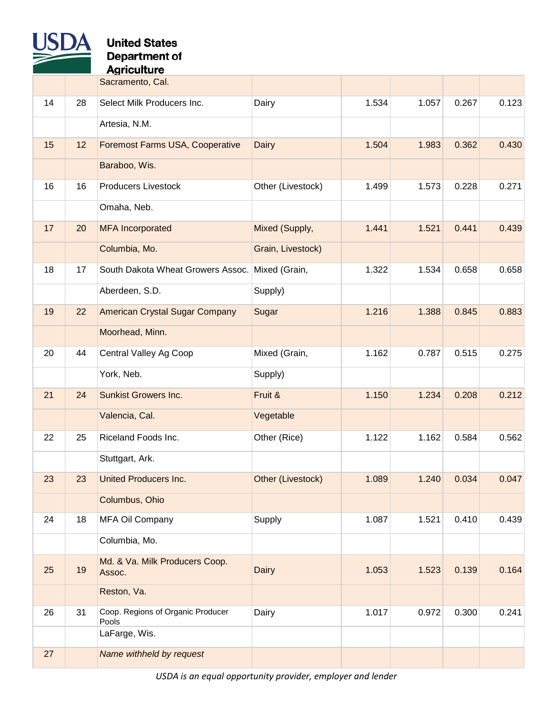

### **United States Department of**

Agriculture

|    |    | Sacramento, Cal.                           |                   |       |       |       |       |
|----|----|--------------------------------------------|-------------------|-------|-------|-------|-------|
| 14 | 28 | Select Milk Producers Inc.                 | Dairy             | 1.534 | 1.057 | 0.267 | 0.123 |
|    |    | Artesia, N.M.                              |                   |       |       |       |       |
| 15 | 12 | Foremost Farms USA, Cooperative            | <b>Dairy</b>      | 1.504 | 1.983 | 0.362 | 0.430 |
|    |    | Baraboo, Wis.                              |                   |       |       |       |       |
| 16 | 16 | <b>Producers Livestock</b>                 | Other (Livestock) | 1.499 | 1.573 | 0.228 | 0.271 |
|    |    | Omaha, Neb.                                |                   |       |       |       |       |
| 17 | 20 | <b>MFA</b> Incorporated                    | Mixed (Supply,    | 1.441 | 1.521 | 0.441 | 0.439 |
|    |    | Columbia, Mo.                              | Grain, Livestock) |       |       |       |       |
| 18 | 17 | South Dakota Wheat Growers Assoc.          | Mixed (Grain,     | 1.322 | 1.534 | 0.658 | 0.658 |
|    |    | Aberdeen, S.D.                             | Supply)           |       |       |       |       |
| 19 | 22 | <b>American Crystal Sugar Company</b>      | Sugar             | 1.216 | 1.388 | 0.845 | 0.883 |
|    |    | Moorhead, Minn.                            |                   |       |       |       |       |
| 20 | 44 | Central Valley Ag Coop                     | Mixed (Grain,     | 1.162 | 0.787 | 0.515 | 0.275 |
|    |    | York, Neb.                                 | Supply)           |       |       |       |       |
| 21 | 24 | <b>Sunkist Growers Inc.</b>                | Fruit &           | 1.150 | 1.234 | 0.208 | 0.212 |
|    |    | Valencia, Cal.                             | Vegetable         |       |       |       |       |
| 22 | 25 | Riceland Foods Inc.                        | Other (Rice)      | 1.122 | 1.162 | 0.584 | 0.562 |
|    |    | Stuttgart, Ark.                            |                   |       |       |       |       |
| 23 | 23 | <b>United Producers Inc.</b>               | Other (Livestock) | 1.089 | 1.240 | 0.034 | 0.047 |
|    |    | Columbus, Ohio                             |                   |       |       |       |       |
| 24 | 18 | MFA Oil Company                            | Supply            | 1.087 | 1.521 | 0.410 | 0.439 |
|    |    | Columbia, Mo.                              |                   |       |       |       |       |
| 25 | 19 | Md. & Va. Milk Producers Coop.<br>Assoc.   | <b>Dairy</b>      | 1.053 | 1.523 | 0.139 | 0.164 |
|    |    | Reston, Va.                                |                   |       |       |       |       |
| 26 | 31 | Coop. Regions of Organic Producer<br>Pools | Dairy             | 1.017 | 0.972 | 0.300 | 0.241 |
|    |    | LaFarge, Wis.                              |                   |       |       |       |       |
| 27 |    | Name withheld by request                   |                   |       |       |       |       |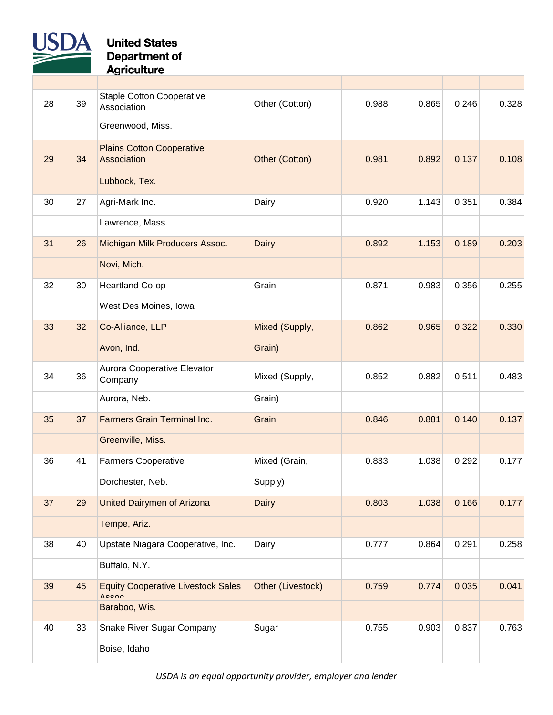

| 28 | 39 | <b>Staple Cotton Cooperative</b><br>Association    | Other (Cotton)    | 0.988 | 0.865 | 0.246 | 0.328 |
|----|----|----------------------------------------------------|-------------------|-------|-------|-------|-------|
|    |    | Greenwood, Miss.                                   |                   |       |       |       |       |
| 29 | 34 | <b>Plains Cotton Cooperative</b><br>Association    | Other (Cotton)    | 0.981 | 0.892 | 0.137 | 0.108 |
|    |    | Lubbock, Tex.                                      |                   |       |       |       |       |
| 30 | 27 | Agri-Mark Inc.                                     | Dairy             | 0.920 | 1.143 | 0.351 | 0.384 |
|    |    | Lawrence, Mass.                                    |                   |       |       |       |       |
| 31 | 26 | Michigan Milk Producers Assoc.                     | <b>Dairy</b>      | 0.892 | 1.153 | 0.189 | 0.203 |
|    |    | Novi, Mich.                                        |                   |       |       |       |       |
| 32 | 30 | Heartland Co-op                                    | Grain             | 0.871 | 0.983 | 0.356 | 0.255 |
|    |    | West Des Moines, Iowa                              |                   |       |       |       |       |
| 33 | 32 | Co-Alliance, LLP                                   | Mixed (Supply,    | 0.862 | 0.965 | 0.322 | 0.330 |
|    |    | Avon, Ind.                                         | Grain)            |       |       |       |       |
| 34 | 36 | Aurora Cooperative Elevator<br>Company             | Mixed (Supply,    | 0.852 | 0.882 | 0.511 | 0.483 |
|    |    | Aurora, Neb.                                       | Grain)            |       |       |       |       |
| 35 | 37 | <b>Farmers Grain Terminal Inc.</b>                 | Grain             | 0.846 | 0.881 | 0.140 | 0.137 |
|    |    | Greenville, Miss.                                  |                   |       |       |       |       |
| 36 | 41 | <b>Farmers Cooperative</b>                         | Mixed (Grain,     | 0.833 | 1.038 | 0.292 | 0.177 |
|    |    | Dorchester, Neb.                                   | Supply)           |       |       |       |       |
| 37 | 29 | <b>United Dairymen of Arizona</b>                  | <b>Dairy</b>      | 0.803 | 1.038 | 0.166 | 0.177 |
|    |    | Tempe, Ariz.                                       |                   |       |       |       |       |
| 38 | 40 | Upstate Niagara Cooperative, Inc.                  | Dairy             | 0.777 | 0.864 | 0.291 | 0.258 |
|    |    | Buffalo, N.Y.                                      |                   |       |       |       |       |
| 39 | 45 | <b>Equity Cooperative Livestock Sales</b><br>Acenn | Other (Livestock) | 0.759 | 0.774 | 0.035 | 0.041 |
|    |    | Baraboo, Wis.                                      |                   |       |       |       |       |
| 40 | 33 | Snake River Sugar Company                          | Sugar             | 0.755 | 0.903 | 0.837 | 0.763 |
|    |    | Boise, Idaho                                       |                   |       |       |       |       |
|    |    |                                                    |                   |       |       |       |       |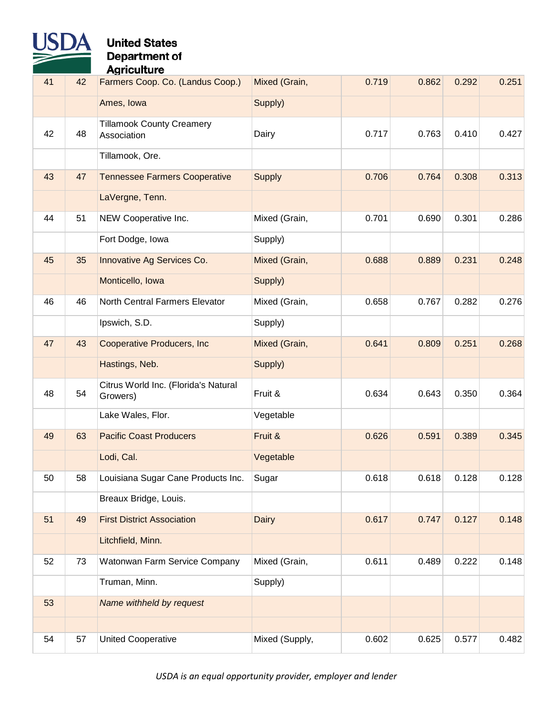

| 41 | 42 | Farmers Coop. Co. (Landus Coop.)                 | Mixed (Grain,  | 0.719 | 0.862 | 0.292 | 0.251 |
|----|----|--------------------------------------------------|----------------|-------|-------|-------|-------|
|    |    | Ames, Iowa                                       | Supply)        |       |       |       |       |
| 42 | 48 | <b>Tillamook County Creamery</b><br>Association  | Dairy          | 0.717 | 0.763 | 0.410 | 0.427 |
|    |    | Tillamook, Ore.                                  |                |       |       |       |       |
| 43 | 47 | <b>Tennessee Farmers Cooperative</b>             | <b>Supply</b>  | 0.706 | 0.764 | 0.308 | 0.313 |
|    |    | LaVergne, Tenn.                                  |                |       |       |       |       |
| 44 | 51 | NEW Cooperative Inc.                             | Mixed (Grain,  | 0.701 | 0.690 | 0.301 | 0.286 |
|    |    | Fort Dodge, Iowa                                 | Supply)        |       |       |       |       |
| 45 | 35 | Innovative Ag Services Co.                       | Mixed (Grain,  | 0.688 | 0.889 | 0.231 | 0.248 |
|    |    | Monticello, Iowa                                 | Supply)        |       |       |       |       |
| 46 | 46 | North Central Farmers Elevator                   | Mixed (Grain,  | 0.658 | 0.767 | 0.282 | 0.276 |
|    |    | Ipswich, S.D.                                    | Supply)        |       |       |       |       |
| 47 | 43 | <b>Cooperative Producers, Inc.</b>               | Mixed (Grain,  | 0.641 | 0.809 | 0.251 | 0.268 |
|    |    | Hastings, Neb.                                   | Supply)        |       |       |       |       |
| 48 | 54 | Citrus World Inc. (Florida's Natural<br>Growers) | Fruit &        | 0.634 | 0.643 | 0.350 | 0.364 |
|    |    | Lake Wales, Flor.                                | Vegetable      |       |       |       |       |
| 49 | 63 | <b>Pacific Coast Producers</b>                   | Fruit &        | 0.626 | 0.591 | 0.389 | 0.345 |
|    |    | Lodi, Cal.                                       | Vegetable      |       |       |       |       |
| 50 | 58 | Louisiana Sugar Cane Products Inc.               | Sugar          | 0.618 | 0.618 | 0.128 | 0.128 |
|    |    | Breaux Bridge, Louis.                            |                |       |       |       |       |
| 51 | 49 | <b>First District Association</b>                | <b>Dairy</b>   | 0.617 | 0.747 | 0.127 | 0.148 |
|    |    | Litchfield, Minn.                                |                |       |       |       |       |
| 52 | 73 | Watonwan Farm Service Company                    | Mixed (Grain,  | 0.611 | 0.489 | 0.222 | 0.148 |
|    |    | Truman, Minn.                                    | Supply)        |       |       |       |       |
| 53 |    | Name withheld by request                         |                |       |       |       |       |
|    |    |                                                  |                |       |       |       |       |
| 54 | 57 | <b>United Cooperative</b>                        | Mixed (Supply, | 0.602 | 0.625 | 0.577 | 0.482 |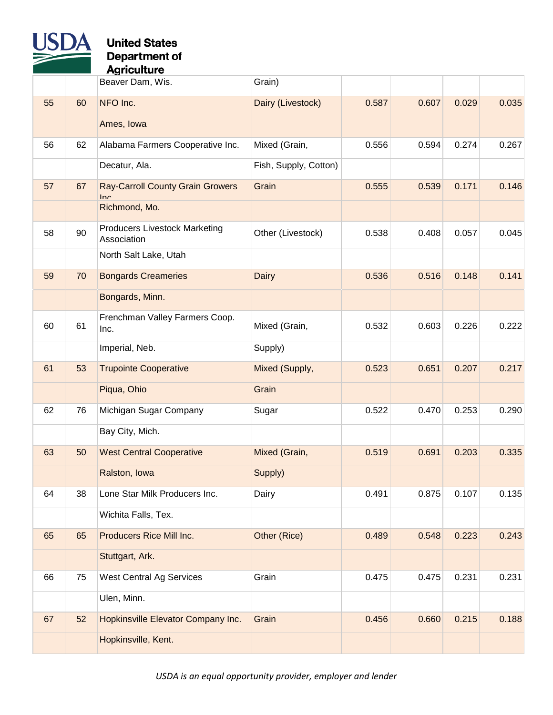

|    |    | Beaver Dam, Wis.                                    | Grain)                |       |       |       |       |
|----|----|-----------------------------------------------------|-----------------------|-------|-------|-------|-------|
| 55 | 60 | NFO Inc.                                            | Dairy (Livestock)     | 0.587 | 0.607 | 0.029 | 0.035 |
|    |    | Ames, Iowa                                          |                       |       |       |       |       |
| 56 | 62 | Alabama Farmers Cooperative Inc.                    | Mixed (Grain,         | 0.556 | 0.594 | 0.274 | 0.267 |
|    |    | Decatur, Ala.                                       | Fish, Supply, Cotton) |       |       |       |       |
| 57 | 67 | <b>Ray-Carroll County Grain Growers</b><br>Inc      | Grain                 | 0.555 | 0.539 | 0.171 | 0.146 |
|    |    | Richmond, Mo.                                       |                       |       |       |       |       |
| 58 | 90 | <b>Producers Livestock Marketing</b><br>Association | Other (Livestock)     | 0.538 | 0.408 | 0.057 | 0.045 |
|    |    | North Salt Lake, Utah                               |                       |       |       |       |       |
| 59 | 70 | <b>Bongards Creameries</b>                          | <b>Dairy</b>          | 0.536 | 0.516 | 0.148 | 0.141 |
|    |    | Bongards, Minn.                                     |                       |       |       |       |       |
| 60 | 61 | Frenchman Valley Farmers Coop.<br>Inc.              | Mixed (Grain,         | 0.532 | 0.603 | 0.226 | 0.222 |
|    |    | Imperial, Neb.                                      | Supply)               |       |       |       |       |
| 61 | 53 | <b>Trupointe Cooperative</b>                        | Mixed (Supply,        | 0.523 | 0.651 | 0.207 | 0.217 |
|    |    | Piqua, Ohio                                         | Grain                 |       |       |       |       |
| 62 | 76 | Michigan Sugar Company                              | Sugar                 | 0.522 | 0.470 | 0.253 | 0.290 |
|    |    | Bay City, Mich.                                     |                       |       |       |       |       |
| 63 | 50 | <b>West Central Cooperative</b>                     | Mixed (Grain,         | 0.519 | 0.691 | 0.203 | 0.335 |
|    |    | Ralston, Iowa                                       | Supply)               |       |       |       |       |
| 64 | 38 | Lone Star Milk Producers Inc.                       | Dairy                 | 0.491 | 0.875 | 0.107 | 0.135 |
|    |    | Wichita Falls, Tex.                                 |                       |       |       |       |       |
| 65 | 65 | Producers Rice Mill Inc.                            | Other (Rice)          | 0.489 | 0.548 | 0.223 | 0.243 |
|    |    | Stuttgart, Ark.                                     |                       |       |       |       |       |
| 66 | 75 | <b>West Central Ag Services</b>                     | Grain                 | 0.475 | 0.475 | 0.231 | 0.231 |
|    |    | Ulen, Minn.                                         |                       |       |       |       |       |
| 67 | 52 | Hopkinsville Elevator Company Inc.                  | Grain                 | 0.456 | 0.660 | 0.215 | 0.188 |
|    |    | Hopkinsville, Kent.                                 |                       |       |       |       |       |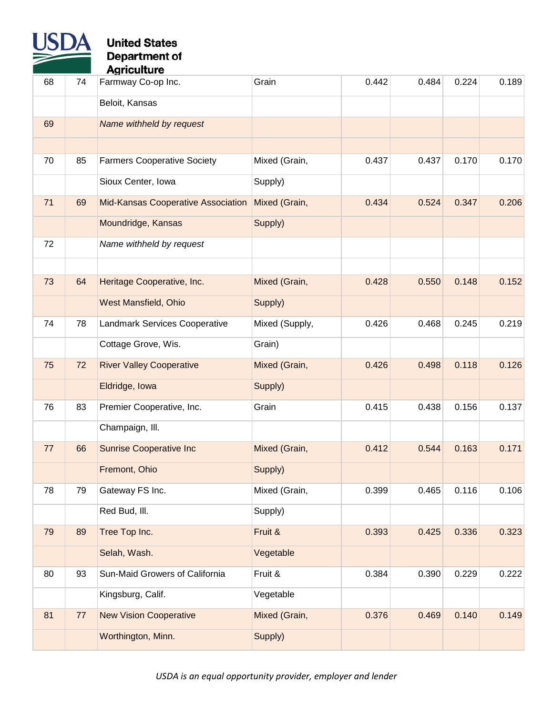

| 68 | 74 | Farmway Co-op Inc.                        | Grain          | 0.442 | 0.484 | 0.224 | 0.189 |
|----|----|-------------------------------------------|----------------|-------|-------|-------|-------|
|    |    | Beloit, Kansas                            |                |       |       |       |       |
| 69 |    | Name withheld by request                  |                |       |       |       |       |
|    |    |                                           |                |       |       |       |       |
| 70 | 85 | <b>Farmers Cooperative Society</b>        | Mixed (Grain,  | 0.437 | 0.437 | 0.170 | 0.170 |
|    |    | Sioux Center, Iowa                        | Supply)        |       |       |       |       |
| 71 | 69 | <b>Mid-Kansas Cooperative Association</b> | Mixed (Grain,  | 0.434 | 0.524 | 0.347 | 0.206 |
|    |    | Moundridge, Kansas                        | Supply)        |       |       |       |       |
| 72 |    | Name withheld by request                  |                |       |       |       |       |
|    |    |                                           |                |       |       |       |       |
| 73 | 64 | Heritage Cooperative, Inc.                | Mixed (Grain,  | 0.428 | 0.550 | 0.148 | 0.152 |
|    |    | <b>West Mansfield, Ohio</b>               | Supply)        |       |       |       |       |
| 74 | 78 | Landmark Services Cooperative             | Mixed (Supply, | 0.426 | 0.468 | 0.245 | 0.219 |
|    |    | Cottage Grove, Wis.                       | Grain)         |       |       |       |       |
| 75 | 72 | <b>River Valley Cooperative</b>           | Mixed (Grain,  | 0.426 | 0.498 | 0.118 | 0.126 |
|    |    | Eldridge, Iowa                            | Supply)        |       |       |       |       |
| 76 | 83 | Premier Cooperative, Inc.                 | Grain          | 0.415 | 0.438 | 0.156 | 0.137 |
|    |    | Champaign, Ill.                           |                |       |       |       |       |
| 77 | 66 | <b>Sunrise Cooperative Inc</b>            | Mixed (Grain,  | 0.412 | 0.544 | 0.163 | 0.171 |
|    |    | Fremont, Ohio                             | Supply)        |       |       |       |       |
| 78 | 79 | Gateway FS Inc.                           | Mixed (Grain,  | 0.399 | 0.465 | 0.116 | 0.106 |
|    |    | Red Bud, III.                             | Supply)        |       |       |       |       |
| 79 | 89 | Tree Top Inc.                             | Fruit &        | 0.393 | 0.425 | 0.336 | 0.323 |
|    |    | Selah, Wash.                              | Vegetable      |       |       |       |       |
| 80 | 93 | Sun-Maid Growers of California            | Fruit &        | 0.384 | 0.390 | 0.229 | 0.222 |
|    |    | Kingsburg, Calif.                         | Vegetable      |       |       |       |       |
| 81 | 77 | <b>New Vision Cooperative</b>             | Mixed (Grain,  | 0.376 | 0.469 | 0.140 | 0.149 |
|    |    | Worthington, Minn.                        | Supply)        |       |       |       |       |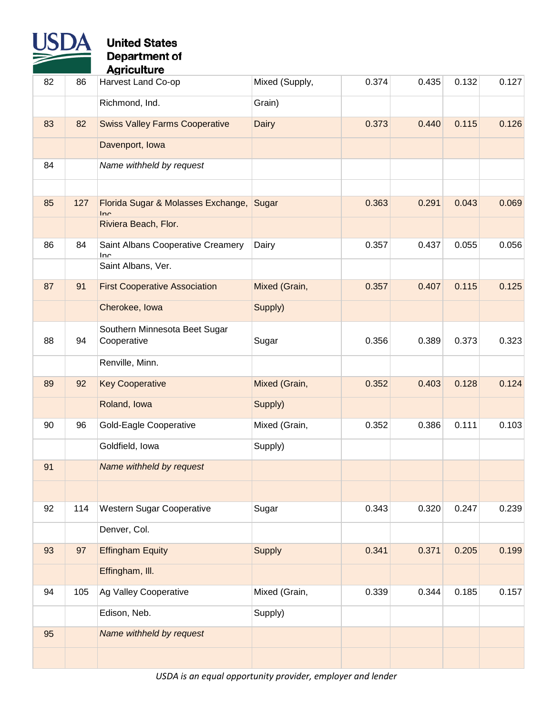

| 82 | 86  | Harvest Land Co-op                        | Mixed (Supply, | 0.374 | 0.435 | 0.132 | 0.127 |
|----|-----|-------------------------------------------|----------------|-------|-------|-------|-------|
|    |     | Richmond, Ind.                            | Grain)         |       |       |       |       |
| 83 | 82  | <b>Swiss Valley Farms Cooperative</b>     | <b>Dairy</b>   | 0.373 | 0.440 | 0.115 | 0.126 |
|    |     | Davenport, Iowa                           |                |       |       |       |       |
| 84 |     | Name withheld by request                  |                |       |       |       |       |
|    |     |                                           |                |       |       |       |       |
| 85 | 127 | Florida Sugar & Molasses Exchange,<br>Inc | Sugar          | 0.363 | 0.291 | 0.043 | 0.069 |
|    |     | Riviera Beach, Flor.                      |                |       |       |       |       |
| 86 | 84  | Saint Albans Cooperative Creamery<br>Inc  | Dairy          | 0.357 | 0.437 | 0.055 | 0.056 |
|    |     | Saint Albans, Ver.                        |                |       |       |       |       |
| 87 | 91  | <b>First Cooperative Association</b>      | Mixed (Grain,  | 0.357 | 0.407 | 0.115 | 0.125 |
|    |     | Cherokee, Iowa                            | Supply)        |       |       |       |       |
|    |     | Southern Minnesota Beet Sugar             |                |       |       |       |       |
| 88 | 94  | Cooperative                               | Sugar          | 0.356 | 0.389 | 0.373 | 0.323 |
|    |     | Renville, Minn.                           |                |       |       |       |       |
| 89 | 92  | <b>Key Cooperative</b>                    | Mixed (Grain,  | 0.352 | 0.403 | 0.128 | 0.124 |
|    |     | Roland, Iowa                              | Supply)        |       |       |       |       |
| 90 | 96  | <b>Gold-Eagle Cooperative</b>             | Mixed (Grain,  | 0.352 | 0.386 | 0.111 | 0.103 |
|    |     | Goldfield, Iowa                           | Supply)        |       |       |       |       |
| 91 |     | Name withheld by request                  |                |       |       |       |       |
|    |     |                                           |                |       |       |       |       |
| 92 | 114 | <b>Western Sugar Cooperative</b>          | Sugar          | 0.343 | 0.320 | 0.247 | 0.239 |
|    |     | Denver, Col.                              |                |       |       |       |       |
| 93 | 97  | <b>Effingham Equity</b>                   | <b>Supply</b>  | 0.341 | 0.371 | 0.205 | 0.199 |
|    |     | Effingham, III.                           |                |       |       |       |       |
| 94 | 105 | Ag Valley Cooperative                     | Mixed (Grain,  | 0.339 | 0.344 | 0.185 | 0.157 |
|    |     | Edison, Neb.                              | Supply)        |       |       |       |       |
| 95 |     | Name withheld by request                  |                |       |       |       |       |
|    |     |                                           |                |       |       |       |       |
|    |     |                                           |                |       |       |       |       |